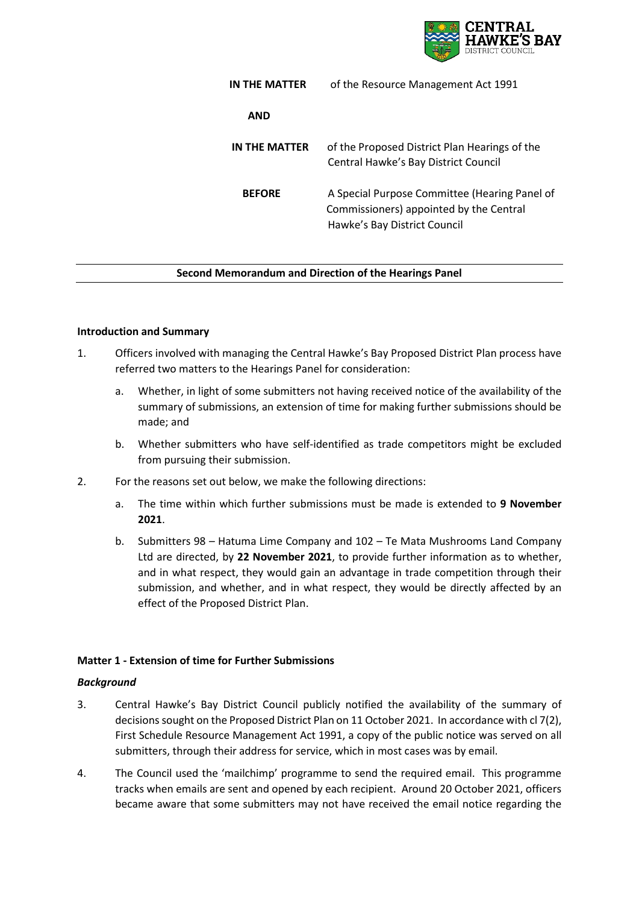

| IN THE MATTER | of the Resource Management Act 1991                                                                                      |
|---------------|--------------------------------------------------------------------------------------------------------------------------|
| <b>AND</b>    |                                                                                                                          |
| IN THE MATTER | of the Proposed District Plan Hearings of the<br>Central Hawke's Bay District Council                                    |
| <b>BEFORE</b> | A Special Purpose Committee (Hearing Panel of<br>Commissioners) appointed by the Central<br>Hawke's Bay District Council |

### **Second Memorandum and Direction of the Hearings Panel**

### **Introduction and Summary**

- 1. Officers involved with managing the Central Hawke's Bay Proposed District Plan process have referred two matters to the Hearings Panel for consideration:
	- a. Whether, in light of some submitters not having received notice of the availability of the summary of submissions, an extension of time for making further submissions should be made; and
	- b. Whether submitters who have self-identified as trade competitors might be excluded from pursuing their submission.
- 2. For the reasons set out below, we make the following directions:
	- a. The time within which further submissions must be made is extended to **9 November 2021**.
	- b. Submitters 98 Hatuma Lime Company and 102 Te Mata Mushrooms Land Company Ltd are directed, by **22 November 2021**, to provide further information as to whether, and in what respect, they would gain an advantage in trade competition through their submission, and whether, and in what respect, they would be directly affected by an effect of the Proposed District Plan.

### **Matter 1 - Extension of time for Further Submissions**

#### *Background*

- 3. Central Hawke's Bay District Council publicly notified the availability of the summary of decisions sought on the Proposed District Plan on 11 October 2021. In accordance with cl 7(2), First Schedule Resource Management Act 1991, a copy of the public notice was served on all submitters, through their address for service, which in most cases was by email.
- 4. The Council used the 'mailchimp' programme to send the required email. This programme tracks when emails are sent and opened by each recipient. Around 20 October 2021, officers became aware that some submitters may not have received the email notice regarding the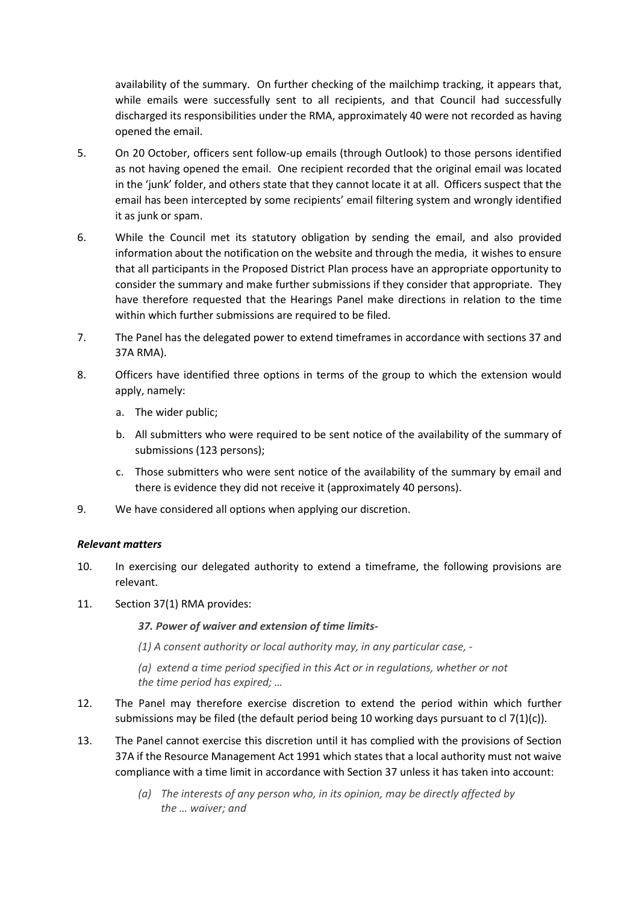availability of the summary. On further checking of the mailchimp tracking, it appears that, while emails were successfully sent to all recipients, and that Council had successfully discharged its responsibilities under the RMA, approximately 40 were not recorded as having opened the email.

- 5. On 20 October, officers sent follow-up emails (through Outlook) to those persons identified as not having opened the email. One recipient recorded that the original email was located in the 'junk' folder, and others state that they cannot locate it at all. Officers suspect that the email has been intercepted by some recipients' email filtering system and wrongly identified it as junk or spam.
- 6. While the Council met its statutory obligation by sending the email, and also provided information about the notification on the website and through the media, it wishes to ensure that all participants in the Proposed District Plan process have an appropriate opportunity to consider the summary and make further submissions if they consider that appropriate. They have therefore requested that the Hearings Panel make directions in relation to the time within which further submissions are required to be filed.
- 7. The Panel has the delegated power to extend timeframes in accordance with sections 37 and 37A RMA).
- 8. Officers have identified three options in terms of the group to which the extension would apply, namely:
	- a. The wider public;
	- b. All submitters who were required to be sent notice of the availability of the summary of submissions (123 persons);
	- c. Those submitters who were sent notice of the availability of the summary by email and there is evidence they did not receive it (approximately 40 persons).
- 9. We have considered all options when applying our discretion.

### *Relevant matters*

- 10. In exercising our delegated authority to extend a timeframe, the following provisions are relevant.
- 11. Section 37(1) RMA provides:
	- *37. Power of waiver and extension of time limits-*
	- *(1) A consent authority or local authority may, in any particular case, -*
	- *(a) extend a time period specified in this Act or in regulations, whether or not the time period has expired; …*
- 12. The Panel may therefore exercise discretion to extend the period within which further submissions may be filed (the default period being 10 working days pursuant to cl  $7(1)(c)$ ).
- 13. The Panel cannot exercise this discretion until it has complied with the provisions of Section 37A if the Resource Management Act 1991 which states that a local authority must not waive compliance with a time limit in accordance with Section 37 unless it has taken into account:
	- *(a) The interests of any person who, in its opinion, may be directly affected by the … waiver; and*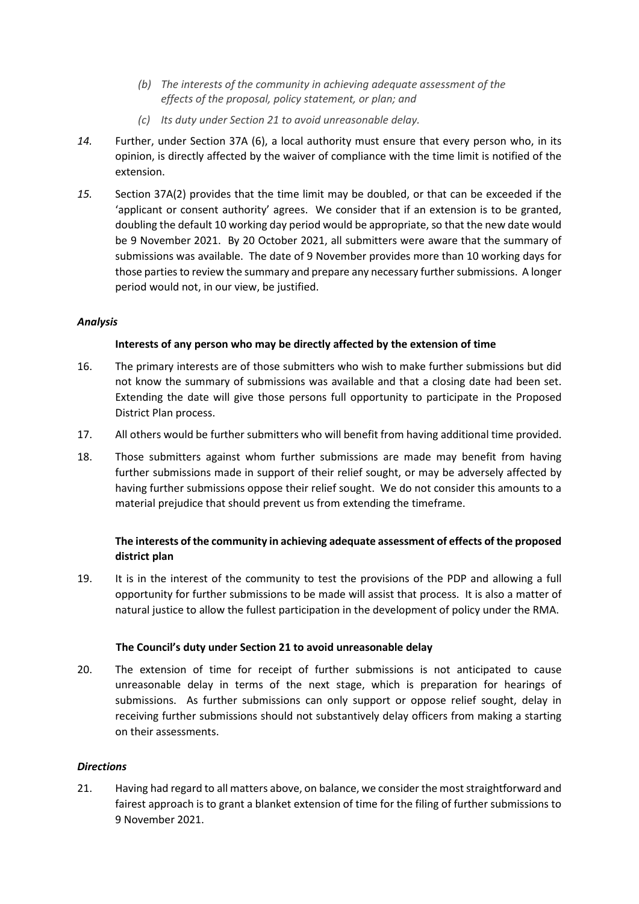- *(b) The interests of the community in achieving adequate assessment of the effects of the proposal, policy statement, or plan; and*
- *(c) Its duty under Section 21 to avoid unreasonable delay.*
- *14.* Further, under Section 37A (6), a local authority must ensure that every person who, in its opinion, is directly affected by the waiver of compliance with the time limit is notified of the extension.
- *15.* Section 37A(2) provides that the time limit may be doubled, or that can be exceeded if the 'applicant or consent authority' agrees. We consider that if an extension is to be granted, doubling the default 10 working day period would be appropriate, so that the new date would be 9 November 2021. By 20 October 2021, all submitters were aware that the summary of submissions was available. The date of 9 November provides more than 10 working days for those parties to review the summary and prepare any necessary further submissions. A longer period would not, in our view, be justified.

### *Analysis*

### **Interests of any person who may be directly affected by the extension of time**

- 16. The primary interests are of those submitters who wish to make further submissions but did not know the summary of submissions was available and that a closing date had been set. Extending the date will give those persons full opportunity to participate in the Proposed District Plan process.
- 17. All others would be further submitters who will benefit from having additional time provided.
- 18. Those submitters against whom further submissions are made may benefit from having further submissions made in support of their relief sought, or may be adversely affected by having further submissions oppose their relief sought. We do not consider this amounts to a material prejudice that should prevent us from extending the timeframe.

# **The interests of the community in achieving adequate assessment of effects of the proposed district plan**

19. It is in the interest of the community to test the provisions of the PDP and allowing a full opportunity for further submissions to be made will assist that process. It is also a matter of natural justice to allow the fullest participation in the development of policy under the RMA.

### **The Council's duty under Section 21 to avoid unreasonable delay**

20. The extension of time for receipt of further submissions is not anticipated to cause unreasonable delay in terms of the next stage, which is preparation for hearings of submissions. As further submissions can only support or oppose relief sought, delay in receiving further submissions should not substantively delay officers from making a starting on their assessments.

### *Directions*

21. Having had regard to all matters above, on balance, we consider the most straightforward and fairest approach is to grant a blanket extension of time for the filing of further submissions to 9 November 2021.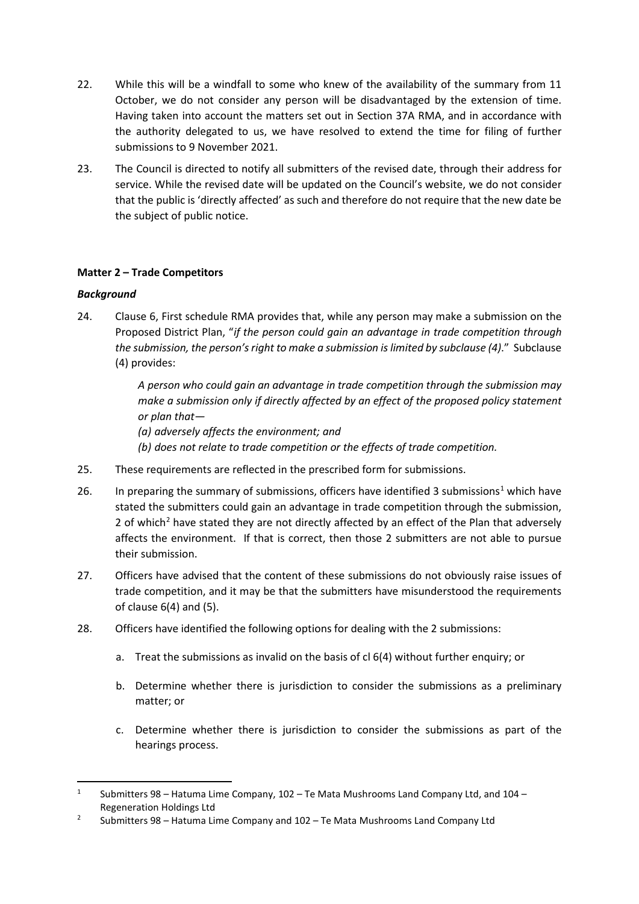- 22. While this will be a windfall to some who knew of the availability of the summary from 11 October, we do not consider any person will be disadvantaged by the extension of time. Having taken into account the matters set out in Section 37A RMA, and in accordance with the authority delegated to us, we have resolved to extend the time for filing of further submissions to 9 November 2021.
- 23. The Council is directed to notify all submitters of the revised date, through their address for service. While the revised date will be updated on the Council's website, we do not consider that the public is 'directly affected' as such and therefore do not require that the new date be the subject of public notice.

# **Matter 2 – Trade Competitors**

# *Background*

24. Clause 6, First schedule RMA provides that, while any person may make a submission on the Proposed District Plan, "*if the person could gain an advantage in trade competition through the submission, the person's right to make a submission is limited by subclause (4)*." Subclause (4) provides:

> *A person who could gain an advantage in trade competition through the submission may make a submission only if directly affected by an effect of the proposed policy statement or plan that—*

*(a) adversely affects the environment; and*

- *(b) does not relate to trade competition or the effects of trade competition.*
- 25. These requirements are reflected in the prescribed form for submissions.
- 26. In preparing the summary of submissions, officers have identified 3 submissions<sup>[1](#page-3-0)</sup> which have stated the submitters could gain an advantage in trade competition through the submission, [2](#page-3-1) of which<sup>2</sup> have stated they are not directly affected by an effect of the Plan that adversely affects the environment. If that is correct, then those 2 submitters are not able to pursue their submission.
- 27. Officers have advised that the content of these submissions do not obviously raise issues of trade competition, and it may be that the submitters have misunderstood the requirements of clause 6(4) and (5).
- 28. Officers have identified the following options for dealing with the 2 submissions:
	- a. Treat the submissions as invalid on the basis of cl 6(4) without further enquiry; or
	- b. Determine whether there is jurisdiction to consider the submissions as a preliminary matter; or
	- c. Determine whether there is jurisdiction to consider the submissions as part of the hearings process.

<span id="page-3-0"></span><sup>&</sup>lt;sup>1</sup> Submitters 98 – Hatuma Lime Company, 102 – Te Mata Mushrooms Land Company Ltd, and 104 – Regeneration Holdings Ltd

<span id="page-3-1"></span><sup>2</sup> Submitters 98 – Hatuma Lime Company and 102 – Te Mata Mushrooms Land Company Ltd